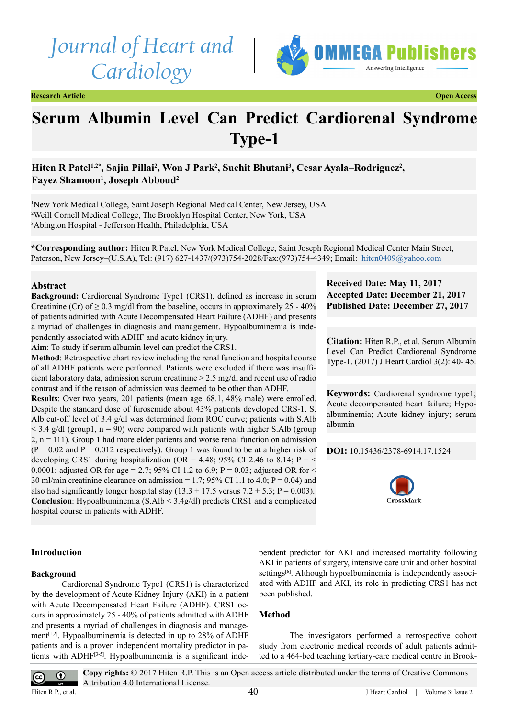*Journal of Heart and Cardiology*



**Research Article Open Access**

# **Serum Albumin Level Can Predict Cardiorenal Syndrome Type-1**

Hiten R Patel<sup>1,2\*</sup>, Sajin Pillai<sup>2</sup>, Won J Park<sup>2</sup>, Suchit Bhutani<sup>3</sup>, Cesar Ayala–Rodriguez<sup>2</sup>, **Fayez Shamoon1 , Joseph Abboud2**

1 New York Medical College, Saint Joseph Regional Medical Center, New Jersey, USA 2 Weill Cornell Medical College, The Brooklyn Hospital Center, New York, USA 3 Abington Hospital - Jefferson Health, Philadelphia, USA

**\*Corresponding author:** Hiten R Patel, New York Medical College, Saint Joseph Regional Medical Center Main Street, Paterson, New Jersey–(U.S.A), Tel: (917) 627-1437/(973)754-2028/Fax:(973)754-4349; Email: [hiten0409@yahoo.com](mailto:hiten0409@yahoo.com)

#### **Abstract**

**Background:** Cardiorenal Syndrome Type1 (CRS1), defined as increase in serum Creatinine (Cr) of  $\geq$  0.3 mg/dl from the baseline, occurs in approximately 25 - 40% of patients admitted with Acute Decompensated Heart Failure (ADHF) and presents a myriad of challenges in diagnosis and management. Hypoalbuminemia is independently associated with ADHF and acute kidney injury.

**Aim**: To study if serum albumin level can predict the CRS1.

**Method**: Retrospective chart review including the renal function and hospital course of all ADHF patients were performed. Patients were excluded if there was insufficient laboratory data, admission serum creatinine > 2.5 mg/dl and recent use of radio contrast and if the reason of admission was deemed to be other than ADHF.

**Results**: Over two years, 201 patients (mean age\_68.1, 48% male) were enrolled. Despite the standard dose of furosemide about 43% patients developed CRS-1. S. Alb cut-off level of 3.4 g/dl was determined from ROC curve; patients with S.Alb  $\leq$  3.4 g/dl (group1, n = 90) were compared with patients with higher S.Alb (group  $2, n = 111$ . Group 1 had more elder patients and worse renal function on admission  $(P = 0.02$  and  $P = 0.012$  respectively). Group 1 was found to be at a higher risk of developing CRS1 during hospitalization (OR = 4.48; 95% CI 2.46 to 8.14; P =  $\leq$ 0.0001; adjusted OR for age = 2.7; 95% CI 1.2 to 6.9; P = 0.03; adjusted OR for < 30 ml/min creatinine clearance on admission = 1.7; 95% CI 1.1 to 4.0;  $P = 0.04$ ) and also had significantly longer hospital stay  $(13.3 \pm 17.5 \text{ versus } 7.2 \pm 5.3; P = 0.003)$ . **Conclusion**: Hypoalbuminemia (S.Alb < 3.4g/dl) predicts CRS1 and a complicated hospital course in patients with ADHF.

# **Received Date: May 11, 2017 Accepted Date: December 21, 2017 Published Date: December 27, 2017**

**Citation:** Hiten R.P., et al. Serum Albumin Level Can Predict Cardiorenal Syndrome Type-1. (2017) J Heart Cardiol 3(2): 40- 45.

**Keywords:** Cardiorenal syndrome type1; Acute decompensated heart failure; Hypoalbuminemia; Acute kidney injury; serum albumin

**DOI:** [10.15436/2378-6914.17.](https://doi.org/10.15436/2378-6914.17.1524)1524



#### **Introduction**

#### **Background**

Cardiorenal Syndrome Type1 (CRS1) is characterized by the development of Acute Kidney Injury (AKI) in a patient with Acute Decompensated Heart Failure (ADHF). CRS1 occurs in approximately 25 - 40% of patients admitted with ADHF and presents a myriad of challenges in diagnosis and management<sup>[1,2]</sup>. Hypoalbuminemia is detected in up to  $28\%$  of ADHF patients and is a proven independent mortality predictor in patients with ADH[F\[3-5\]](#page-4-1). Hypoalbuminemia is a significant independent predictor for AKI and increased mortality following AKI in patients of surgery, intensive care unit and other hospital settings<sup>[6]</sup>. Although hypoalbuminemia is independently associated with ADHF and AKI, its role in predicting CRS1 has not been published.

### **Method**

The investigators performed a retrospective cohort study from electronic medical records of adult patients admitted to a 464-bed teaching tertiary-care medical centre in Brook-



**Copy rights:** © 2017 Hiten R.P. This is an Open access article distributed under the terms of Creative Commons Attribution 4.0 International License.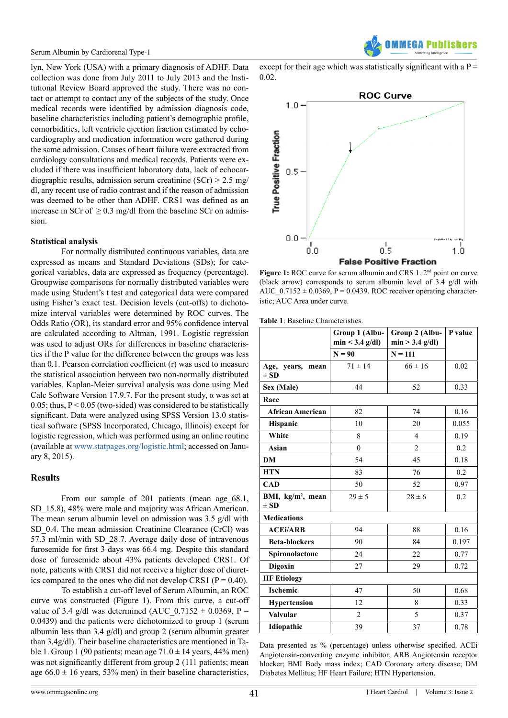lyn, New York (USA) with a primary diagnosis of ADHF. Data collection was done from July 2011 to July 2013 and the Institutional Review Board approved the study. There was no contact or attempt to contact any of the subjects of the study. Once medical records were identified by admission diagnosis code, baseline characteristics including patient's demographic profile, comorbidities, left ventricle ejection fraction estimated by echocardiography and medication information were gathered during the same admission. Causes of heart failure were extracted from cardiology consultations and medical records. Patients were excluded if there was insufficient laboratory data, lack of echocardiographic results, admission serum creatinine (SCr) > 2.5 mg/ dl, any recent use of radio contrast and if the reason of admission was deemed to be other than ADHF. CRS1 was defined as an increase in SCr of  $\geq$  0.3 mg/dl from the baseline SCr on admission.

#### **Statistical analysis**

For normally distributed continuous variables, data are expressed as means and Standard Deviations (SDs); for categorical variables, data are expressed as frequency (percentage). Groupwise comparisons for normally distributed variables were made using Student's t test and categorical data were compared using Fisher's exact test. Decision levels (cut-offs) to dichotomize interval variables were determined by ROC curves. The Odds Ratio (OR), its standard error and 95% confidence interval are calculated according to Altman, 1991. Logistic regression was used to adjust ORs for differences in baseline characteristics if the P value for the difference between the groups was less than 0.1. Pearson correlation coefficient (r) was used to measure the statistical association between two non-normally distributed variables. Kaplan-Meier survival analysis was done using Med Calc Software Version 17.9.7. For the present study,  $\alpha$  was set at 0.05; thus,  $P \le 0.05$  (two-sided) was considered to be statistically significant. Data were analyzed using SPSS Version 13.0 statistical software (SPSS Incorporated, Chicago, Illinois) except for logistic regression, which was performed using an online routine (available at [www.statpages.org/logistic.html;](http://www.statpages.org/logistic.html) accessed on January 8, 2015).

#### **Results**

From our sample of 201 patients (mean age\_68.1, SD 15.8), 48% were male and majority was African American. The mean serum albumin level on admission was 3.5 g/dl with SD 0.4. The mean admission Creatinine Clearance (CrCl) was 57.3 ml/min with SD\_28.7. Average daily dose of intravenous furosemide for first 3 days was 66.4 mg. Despite this standard dose of furosemide about 43% patients developed CRS1. Of note, patients with CRS1 did not receive a higher dose of diuretics compared to the ones who did not develop CRS1 ( $P = 0.40$ ).

To establish a cut-off level of Serum Albumin, an ROC curve was constructed (Figure 1). From this curve, a cut-off value of 3.4 g/dl was determined (AUC\_0.7152  $\pm$  0.0369, P = 0.0439) and the patients were dichotomized to group 1 (serum albumin less than 3.4 g/dl) and group 2 (serum albumin greater than 3.4g/dl). Their baseline characteristics are mentioned in Table 1. Group 1 (90 patients; mean age  $71.0 \pm 14$  years, 44% men) was not significantly different from group 2 (111 patients; mean age  $66.0 \pm 16$  years, 53% men) in their baseline characteristics,



except for their age which was statistically significant with a  $P =$ 0.02.



**Figure 1:** ROC curve for serum albumin and CRS 1. 2<sup>nd</sup> point on curve (black arrow) corresponds to serum albumin level of 3.4 g/dl with AUC  $0.7152 \pm 0.0369$ , P = 0.0439. ROC receiver operating characteristic; AUC Area under curve.

**Table 1**: Baseline Characteristics.

|                                           | Group 1 (Albu-<br>$min < 3.4$ g/dl) | Group 2 (Albu-<br>$min > 3.4$ g/dl) | P value |  |  |
|-------------------------------------------|-------------------------------------|-------------------------------------|---------|--|--|
|                                           | $N = 90$                            | $N = 111$                           |         |  |  |
| Age, years,<br>mean<br>$\pm$ SD           | $71 \pm 14$                         | $66 \pm 16$                         | 0.02    |  |  |
| Sex (Male)                                | 44                                  | 52                                  | 0.33    |  |  |
| Race                                      |                                     |                                     |         |  |  |
| <b>African American</b>                   | 82                                  | 74                                  | 0.16    |  |  |
| Hispanic                                  | 10                                  | 20                                  | 0.055   |  |  |
| White                                     | 8                                   | $\overline{4}$                      | 0.19    |  |  |
| Asian                                     | $\overline{0}$                      | $\overline{2}$                      | 0.2     |  |  |
| <b>DM</b>                                 | 54                                  | 45                                  | 0.18    |  |  |
| <b>HTN</b>                                | 83                                  | 76                                  | 0.2     |  |  |
| CAD                                       | 50                                  | 52                                  | 0.97    |  |  |
| BMI, kg/m <sup>2</sup> , mean<br>$\pm$ SD | $29 \pm 5$                          | $28 \pm 6$                          | 0.2     |  |  |
| <b>Medications</b>                        |                                     |                                     |         |  |  |
| <b>ACEi/ARB</b>                           | 94                                  | 88                                  | 0.16    |  |  |
| <b>Beta-blockers</b>                      | 90                                  | 84                                  | 0.197   |  |  |
| Spironolactone                            | 24                                  | 22                                  | 0.77    |  |  |
| Digoxin                                   | 27                                  | 29                                  | 0.72    |  |  |
| <b>HF Etiology</b>                        |                                     |                                     |         |  |  |
| <b>Ischemic</b>                           | 47                                  | 50                                  | 0.68    |  |  |
| Hypertension                              | 12                                  | 8                                   | 0.33    |  |  |
| Valvular                                  | $\overline{2}$                      | 5                                   | 0.37    |  |  |
| Idiopathic                                | 39                                  | 37                                  | 0.78    |  |  |

Data presented as % (percentage) unless otherwise specified. ACEi Angiotensin-converting enzyme inhibitor; ARB Angiotensin receptor blocker; BMI Body mass index; CAD Coronary artery disease; DM Diabetes Mellitus; HF Heart Failure; HTN Hypertension.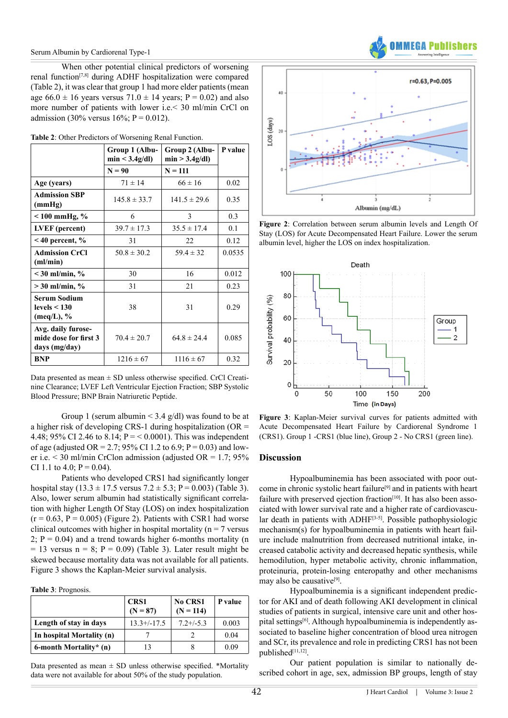When other potential clinical predictors of worsening renal function[\[7,8\]](#page-4-3) during ADHF hospitalization were compared (Table 2), it was clear that group 1 had more elder patients (mean age  $66.0 \pm 16$  years versus  $71.0 \pm 14$  years; P = 0.02) and also more number of patients with lower i.e.< 30 ml/min CrCl on admission (30% versus  $16\%$ ; P = 0.012).

|                                                                 | Group 1 (Albu-<br>min < 3.4g/dl | Group 2 (Albu-<br>min > 3.4g/dl | P value |
|-----------------------------------------------------------------|---------------------------------|---------------------------------|---------|
|                                                                 | $N = 90$                        | $N = 111$                       |         |
| Age (years)                                                     | $71 \pm 14$                     | $66 \pm 16$                     | 0.02    |
| <b>Admission SBP</b><br>(mmHg)                                  | $145.8 \pm 33.7$                | $141.5 \pm 29.6$                | 0.35    |
| $< 100$ mmHg, %                                                 | 6                               | 3                               | 0.3     |
| LVEF (percent)                                                  | $39.7 \pm 17.3$                 | $35.5 \pm 17.4$                 | 0.1     |
| $<$ 40 percent, $\%$                                            | 31                              | 22                              | 0.12    |
| <b>Admission CrCl</b><br>(ml/min)                               | $50.8 \pm 30.2$                 | $59.4 \pm 32$                   | 0.0535  |
| $<$ 30 ml/min, %                                                | 30                              | 16                              | 0.012   |
| $>30$ ml/min, %                                                 | 31                              | 21                              | 0.23    |
| Serum Sodium<br>levels $<$ 130<br>$(\text{meq/L}), \frac{6}{6}$ | 38                              | 31                              | 0.29    |
| Avg. daily furose-<br>mide dose for first 3<br>days (mg/day)    | $70.4 \pm 20.7$                 | $64.8 \pm 24.4$                 | 0.085   |
| <b>BNP</b>                                                      | $1216 \pm 67$                   | $1116 \pm 67$                   | 0.32    |

Data presented as mean ± SD unless otherwise specified. CrCl Creatinine Clearance; LVEF Left Ventricular Ejection Fraction; SBP Systolic Blood Pressure; BNP Brain Natriuretic Peptide.

Group 1 (serum albumin  $\leq$  3.4 g/dl) was found to be at a higher risk of developing CRS-1 during hospitalization (OR = 4.48; 95% CI 2.46 to 8.14;  $P = < 0.0001$ ). This was independent of age (adjusted OR = 2.7; 95% CI 1.2 to 6.9;  $P = 0.03$ ) and lower i.e.  $\leq$  30 ml/min CrClon admission (adjusted OR = 1.7; 95%) CI 1.1 to 4.0;  $P = 0.04$ ).

Patients who developed CRS1 had significantly longer hospital stay  $(13.3 \pm 17.5 \text{ versus } 7.2 \pm 5.3; P = 0.003)$  (Table 3). Also, lower serum albumin had statistically significant correlation with higher Length Of Stay (LOS) on index hospitalization  $(r = 0.63, P = 0.005)$  (Figure 2). Patients with CSR1 had worse clinical outcomes with higher in hospital mortality ( $n = 7$  versus 2;  $P = 0.04$ ) and a trend towards higher 6-months mortality (n  $= 13$  versus n = 8; P = 0.09) (Table 3). Later result might be skewed because mortality data was not available for all patients. Figure 3 shows the Kaplan-Meier survival analysis.

**Table 3**: Prognosis.

|                           | <b>CRS1</b><br>$(N = 87)$ | No CRS1<br>$(N = 114)$ | P value |
|---------------------------|---------------------------|------------------------|---------|
| Length of stay in days    | $13.3+/-17.5$             | $7.2 + (-5.3)$         | 0.003   |
| In hospital Mortality (n) |                           |                        | 0.04    |
| 6-month Mortality* $(n)$  | 13                        |                        | 0.09    |

Data presented as mean  $\pm$  SD unless otherwise specified. \*Mortality data were not available for about 50% of the study population.



**Figure 2**: Correlation between serum albumin levels and Length Of Stay (LOS) for Acute Decompensated Heart Failure. Lower the serum albumin level, higher the LOS on index hospitalization.



**Figure 3**: Kaplan-Meier survival curves for patients admitted with Acute Decompensated Heart Failure by Cardiorenal Syndrome 1 (CRS1). Group 1 -CRS1 (blue line), Group 2 - No CRS1 (green line).

#### **Discussion**

Hypoalbuminemia has been associated with poor outcome in chronic systolic heart failure<sup>[9]</sup> and in patients with heart failure with preserved ejection fraction<sup>[\[10\]](#page-4-5)</sup>. It has also been associated with lower survival rate and a higher rate of cardiovascular death in patients with ADHF<sup>[3-5]</sup>. Possible pathophysiologic mechanism(s) for hypoalbuminemia in patients with heart failure include malnutrition from decreased nutritional intake, increased catabolic activity and decreased hepatic synthesis, while hemodilution, hyper metabolic activity, chronic inflammation, proteinuria, protein-losing enteropathy and other mechanisms may also be causative<sup>[9]</sup>.

Hypoalbuminemia is a significant independent predictor for AKI and of death following AKI development in clinical studies of patients in surgical, intensive care unit and other hospital setting[s\[6\]](#page-4-2). Although hypoalbuminemia is independently associated to baseline higher concentration of blood urea nitrogen and SCr, its prevalence and role in predicting CRS1 has not been published[\[11,12\].](#page-4-6)

Our patient population is similar to nationally described cohort in age, sex, admission BP groups, length of stay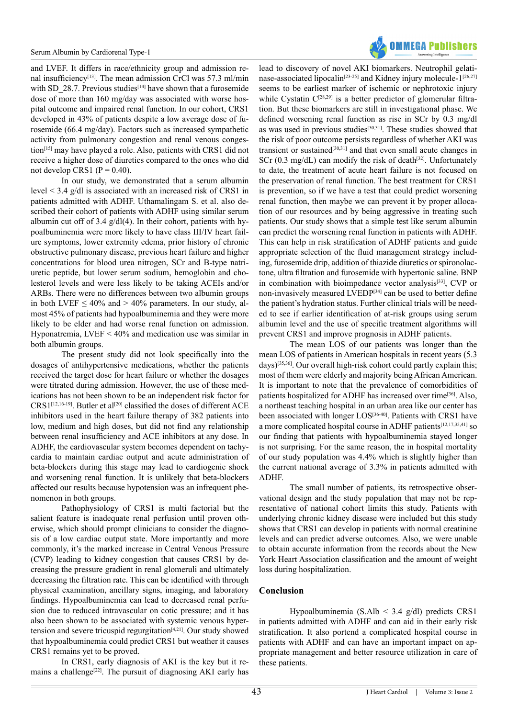

and LVEF. It differs in race/ethnicity group and admission re-nal insufficiency<sup>[\[13\]](#page-4-7)</sup>. The mean admission CrCl was 57.3 ml/min with SD 28.7. Previous studies<sup>[14]</sup> have shown that a furosemide dose of more than 160 mg/day was associated with worse hospital outcome and impaired renal function. In our cohort, CRS1 developed in 43% of patients despite a low average dose of furosemide (66.4 mg/day). Factors such as increased sympathetic activity from pulmonary congestion and renal venous congestion[\[15\]](#page-4-9) may have played a role. Also, patients with CRS1 did not receive a higher dose of diuretics compared to the ones who did not develop CRS1 ( $P = 0.40$ ).

In our study, we demonstrated that a serum albumin level < 3.4 g/dl is associated with an increased risk of CRS1 in patients admitted with ADHF. Uthamalingam S. et al. also described their cohort of patients with ADHF using similar serum albumin cut off of 3.4 g/dl(4). In their cohort, patients with hypoalbuminemia were more likely to have class III/IV heart failure symptoms, lower extremity edema, prior history of chronic obstructive pulmonary disease, previous heart failure and higher concentrations for blood urea nitrogen, SCr and B-type natriuretic peptide, but lower serum sodium, hemoglobin and cholesterol levels and were less likely to be taking ACEIs and/or ARBs. There were no differences between two albumin groups in both LVEF  $\leq 40\%$  and  $> 40\%$  parameters. In our study, almost 45% of patients had hypoalbuminemia and they were more likely to be elder and had worse renal function on admission. Hyponatremia, LVEF < 40% and medication use was similar in both albumin groups.

The present study did not look specifically into the dosages of antihypertensive medications, whether the patients received the target dose for heart failure or whether the dosages were titrated during admission. However, the use of these medications has not been shown to be an independent risk factor for CRS1<sup>[12,16-19]</sup>. Butler et al<sup>[\[20\]](#page-4-11)</sup> classified the doses of different ACE inhibitors used in the heart failure therapy of 382 patients into low, medium and high doses, but did not find any relationship between renal insufficiency and ACE inhibitors at any dose. In ADHF, the cardiovascular system becomes dependent on tachycardia to maintain cardiac output and acute administration of beta-blockers during this stage may lead to cardiogenic shock and worsening renal function. It is unlikely that beta-blockers affected our results because hypotension was an infrequent phenomenon in both groups.

Pathophysiology of CRS1 is multi factorial but the salient feature is inadequate renal perfusion until proven otherwise, which should prompt clinicians to consider the diagnosis of a low cardiac output state. More importantly and more commonly, it's the marked increase in Central Venous Pressure (CVP) leading to kidney congestion that causes CRS1 by decreasing the pressure gradient in renal glomeruli and ultimately decreasing the filtration rate. This can be identified with through physical examination, ancillary signs, imaging, and laboratory findings. Hypoalbuminemia can lead to decreased renal perfusion due to reduced intravascular on cotic pressure; and it has also been shown to be associated with systemic venous hypertension and severe tricuspid regurgitatio[n\[4,21\].](#page-4-12) Our study showed that hypoalbuminemia could predict CRS1 but weather it causes CRS1 remains yet to be proved.

In CRS1, early diagnosis of AKI is the key but it re-mains a challenge<sup>[\[22\]](#page-4-13)</sup>. The pursuit of diagnosing AKI early has

lead to discovery of novel AKI biomarkers. Neutrophil gelatinase-associated lipocalin<sup>[23-25]</sup> and Kidney injury molecule-1<sup>[26,27]</sup> seems to be earliest marker of ischemic or nephrotoxic injury while Cystatin  $C^{[28,29]}$  $C^{[28,29]}$  $C^{[28,29]}$  is a better predictor of glomerular filtration. But these biomarkers are still in investigational phase. We defined worsening renal function as rise in SCr by 0.3 mg/dl as was used in previous studies<sup>[30,31]</sup>. These studies showed that the risk of poor outcome persists regardless of whether AKI was transient or sustained<sup>[30,31]</sup> and that even small acute changes in SCr  $(0.3 \text{ mg/dL})$  can modify the risk of death<sup>[32]</sup>. Unfortunately to date, the treatment of acute heart failure is not focused on the preservation of renal function. The best treatment for CRS1 is prevention, so if we have a test that could predict worsening renal function, then maybe we can prevent it by proper allocation of our resources and by being aggressive in treating such patients. Our study shows that a simple test like serum albumin can predict the worsening renal function in patients with ADHF. This can help in risk stratification of ADHF patients and guide appropriate selection of the fluid management strategy including, furosemide drip, addition of thiazide diuretics or spironolactone, ultra filtration and furosemide with hypertonic saline. BNP in combination with bioimpedance vector analysis<sup>[33]</sup>, CVP or non-invasively measured LVEDP<sup>[\[34\]](#page-5-2)</sup> can be used to better define the patient's hydration status. Further clinical trials will be needed to see if earlier identification of at-risk groups using serum albumin level and the use of specific treatment algorithms will prevent CRS1 and improve prognosis in ADHF patients.

The mean LOS of our patients was longer than the mean LOS of patients in American hospitals in recent years (5.3 days[\)\[35,36\]](#page-5-3). Our overall high-risk cohort could partly explain this; most of them were elderly and majority being African American. It is important to note that the prevalence of comorbidities of patients hospitalized for ADHF has increased over time<sup>[36]</sup>. Also, a northeast teaching hospital in an urban area like our center has been associated with longer LOS<sup>[36-40]</sup>. Patients with CRS1 have a more complicated hospital course in ADHF patients<sup>[\[12,17,35,41\]](#page-4-10)</sup> so our finding that patients with hypoalbuminemia stayed longer is not surprising. For the same reason, the in hospital mortality of our study population was 4.4% which is slightly higher than the current national average of 3.3% in patients admitted with ADHF.

The small number of patients, its retrospective observational design and the study population that may not be representative of national cohort limits this study. Patients with underlying chronic kidney disease were included but this study shows that CRS1 can develop in patients with normal creatinine levels and can predict adverse outcomes. Also, we were unable to obtain accurate information from the records about the New York Heart Association classification and the amount of weight loss during hospitalization.

# **Conclusion**

Hypoalbuminemia (S.Alb < 3.4 g/dl) predicts CRS1 in patients admitted with ADHF and can aid in their early risk stratification. It also portend a complicated hospital course in patients with ADHF and can have an important impact on appropriate management and better resource utilization in care of these patients.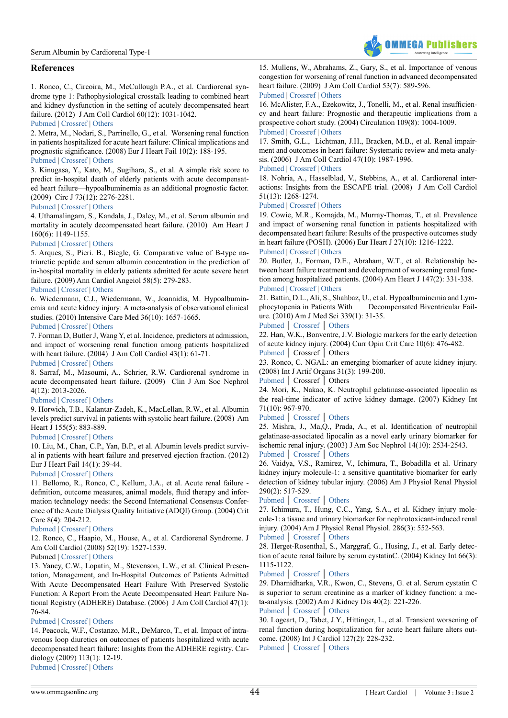# **References**

<span id="page-4-0"></span>1. Ronco, C., Circoira, M., McCullough P.A., et al. Cardiorenal syndrome type 1: Pathophysiological crosstalk leading to combined heart and kidney dysfunction in the setting of acutely decompensated heart failure. (2012) J Am Coll Cardiol 60(12): 1031-1042.

#### [Pubmed](https://www.ncbi.nlm.nih.gov/pubmed/22840531) | [Crossref](https://doi.org/10.1016/j.jacc.2012.01.077) | [Others](https://www.sciencedirect.com/science/article/pii/S0735109712019559)

2. Metra, M., Nodari, S., Parrinello, G., et al. Worsening renal function in patients hospitalized for acute heart failure: Clinical implications and prognostic significance. (2008) Eur J Heart Fail 10(2): 188-195.

#### [Pubmed](https://www.ncbi.nlm.nih.gov/pubmed/18279773) | [Crossref](https://doi.org/10.1016/j.ejheart.2008.01.011) | [Others](http://onlinelibrary.wiley.com/doi/10.1016/j.ejheart.2008.01.011/abstract;jsessionid=2F54A4C479805EF9887A001BFFEC2FD2.f02t04)

<span id="page-4-1"></span>3. Kinugasa, Y., Kato, M., Sugihara, S., et al. A simple risk score to predict in-hospital death of elderly patients with acute decompensated heart failure—hypoalbuminemia as an additional prognostic factor. (2009) Circ J 73(12): 2276-2281.

#### [Pubmed](https://www.ncbi.nlm.nih.gov/pubmed/19822976) | [Crossref](https://doi.org/10.1253/circj.CJ-09-0498) | [Others](https://www.jstage.jst.go.jp/article/circj/73/12/73_CJ-09-0498/_article)

<span id="page-4-12"></span>4. Uthamalingam, S., Kandala, J., Daley, M., et al. Serum albumin and mortality in acutely decompensated heart failure. (2010) Am Heart J 160(6): 1149-1155.

#### [Pubmed](https://www.ncbi.nlm.nih.gov/pubmed/21146671) | [Crossref](http://dx.doi.org/10.1016/j.ahj.2010.09.004) | [Others](http://www.ahjonline.com/article/S0002-8703(10)00792-1/pdf)

5. Arques, S., Pieri. B., Biegle, G. Comparative value of B-type natriuretic peptide and serum albumin concentration in the prediction of in-hospital mortality in elderly patients admitted for acute severe heart failure. (2009) Ann Cardiol Angeiol 58(5): 279-283.

#### [Pubmed](https://www.ncbi.nlm.nih.gov/pubmed/19819420) | [Crossref](https://doi.org/10.1016/j.ancard.2009.09.003) | [Others](http://www.sciencedirect.com/science/article/pii/S0003392809001176?via%3Dihub)

<span id="page-4-2"></span>6. Wiedermann, C.J., Wiedermann, W., Joannidis, M. Hypoalbuminemia and acute kidney injury: A meta-analysis of observational clinical studies. (2010) Intensive Care Med 36(10): 1657-1665.

#### [Pubmed](https://www.ncbi.nlm.nih.gov/pubmed/20517593) | [Crossref](https://doi.org/10.1007/s00134-010-1928-z) | [Others](https://www.semanticscholar.org/paper/Hypoalbuminemia-and-acute-kidney-injury-a-meta-ana-Wiedermann-Wiedermann/4c1d4be6b3cd634688b0ba941091cf9129c07a14)

<span id="page-4-3"></span>7. Forman D, Butler J, Wang Y, et al. Incidence, predictors at admission, and impact of worsening renal function among patients hospitalized with heart failure. (2004) J Am Coll Cardiol 43(1): 61-71.

#### [Pubmed](https://www.ncbi.nlm.nih.gov/pubmed/14715185) | [Crossref](https://doi.org/10.1016/j.jacc.2003.07.031) | [Others](http://www.sciencedirect.com/science/article/pii/S0735109703013226)

8. Sarraf, M., Masoumi, A., Schrier, R.W. Cardiorenal syndrome in acute decompensated heart failure. (2009) Clin J Am Soc Nephrol 4(12): 2013-2026.

#### [Pubmed](https://www.ncbi.nlm.nih.gov/pubmed/19965544) | [Crossref](https://doi.org/10.2215/CJN.03150509) | [Others](http://cjasn.asnjournals.org/content/4/12/2013.long)

<span id="page-4-4"></span>9. Horwich, T.B., Kalantar-Zadeh, K., MacLellan, R.W., et al. Albumin levels predict survival in patients with systolic heart failure. (2008) Am Heart J 155(5): 883-889.

#### [Pubmed](https://www.ncbi.nlm.nih.gov/pubmed/18440336) | [Crossref](http://dx.doi.org/10.1016/j.ahj.2007.11.043) | [Others](http://www.ahjonline.com/article/S0002-8703(07)01041-1/fulltext)

<span id="page-4-5"></span>10. Liu, M., Chan, C.P., Yan, B.P., et al. Albumin levels predict survival in patients with heart failure and preserved ejection fraction. (2012) Eur J Heart Fail 14(1): 39-44.

# [Pubmed](https://www.ncbi.nlm.nih.gov/pubmed/22158777) | [Crossref](https://doi.org/10.1093/eurjhf/hfr154) | [Others](http://onlinelibrary.wiley.com/doi/10.1093/eurjhf/hfr154/abstract)

<span id="page-4-6"></span>11. Bellomo, R., Ronco, C., Kellum, J.A., et al. Acute renal failure definition, outcome measures, animal models, fluid therapy and information technology needs: the Second International Consensus Conference of the Acute Dialysis Quality Initiative (ADQI) Group. (2004) Crit Care 8(4): 204-212.

#### [Pubmed](https://www.ncbi.nlm.nih.gov/pubmed/15312219) | [Crossref](https://doi.org/10.1186/cc2872) | [Others](https://ccforum.biomedcentral.com/articles/10.1186/cc2872)

<span id="page-4-10"></span>12. Ronco, C., Haapio, M., House, A., et al. Cardiorenal Syndrome. J Am Coll Cardiol (2008) 52(19): 1527-1539.

#### Pubmed | [Crossref](https://10.0.3.248/j.jacc.2008.07.051) | [Others](http://www.onlinejacc.org/content/accj/52/19/1527.full.pdf)

<span id="page-4-7"></span>13. Yancy, C.W., Lopatin, M., Stevenson, L.W., et al. Clinical Presentation, Management, and In-Hospital Outcomes of Patients Admitted With Acute Decompensated Heart Failure With Preserved Systolic Function: A Report From the Acute Decompensated Heart Failure National Registry (ADHERE) Database. (2006) J Am Coll Cardiol 47(1): 76-84.

#### [Pubmed](https://www.ncbi.nlm.nih.gov/pubmed/16386668) | [Crossref](https://doi.org/10.1016/j.jacc.2005.09.022) | [Others](http://www.sciencedirect.com/science/article/pii/S0735109705024290?via%3Dihub)

<span id="page-4-8"></span>14. Peacock, W.F., Costanzo, M.R., DeMarco, T., et al. Impact of intravenous loop diuretics on outcomes of patients hospitalized with acute decompensated heart failure: Insights from the ADHERE registry. Cardiology (2009) 113(1): 12-19. [Pubmed](https://www.ncbi.nlm.nih.gov/pubmed/18931492) | [Crossref](https://doi.org/10.1159/000164149) | [Others](https://www.karger.com/Article/Abstract/164149)

<span id="page-4-9"></span>15. Mullens, W., Abrahams, Z., Gary, S., et al. Importance of venous congestion for worsening of renal function in advanced decompensated heart failure. (2009) J Am Coll Cardiol 53(7): 589-596. [Pubmed](https://www.ncbi.nlm.nih.gov/pubmed/19215833) | [Crossref](https://doi.org/10.1016/j.jacc.2008.05.068) | [Others](http://www.sciencedirect.com/science/article/pii/S0735109708037947?via%3Dihub)

**OMMEGA Publishers** 

#### 16. McAlister, F.A., Ezekowitz, J., Tonelli, M., et al. Renal insufficiency and heart failure: Prognostic and therapeutic implications from a prospective cohort study. (2004) Circulation 109(8): 1004-1009. [Pubmed](https://www.ncbi.nlm.nih.gov/pubmed/14769700) | [Crossref](https://doi.org/10.1161/01.CIR.0000116764.53225.A9) | [Others](http://circ.ahajournals.org/content/109/8/1004.long)

17. Smith, G.L., Lichtman, J.H., Bracken, M.B., et al. Renal impairment and outcomes in heart failure: Systematic review and meta-analysis. (2006) J Am Coll Cardiol 47(10): 1987-1996.

#### [Pubmed](https://www.ncbi.nlm.nih.gov/pubmed/16697315) | [Crossref](https://doi.org/10.1016/j.jacc.2005.11.084) | [Others](https://www.sciencedirect.com/science/article/pii/S0735109706004888)

18. Nohria, A., Hasselblad, V., Stebbins, A., et al. Cardiorenal interactions: Insights from the ESCAPE trial. (2008) J Am Coll Cardiol 51(13): 1268-1274.

#### [Pubmed](https://www.ncbi.nlm.nih.gov/pubmed/18371557) | [Crossref](https://doi.org/10.1016/j.jacc.2007.08.072) | [Others](http://www.sciencedirect.com/science/article/pii/S0735109708002283)

19. Cowie, M.R., Komajda, M., Murray-Thomas, T., et al. Prevalence and impact of worsening renal function in patients hospitalized with decompensated heart failure: Results of the prospective outcomes study in heart failure (POSH). (2006) Eur Heart J 27(10): 1216-1222.

#### [Pubmed](https://www.ncbi.nlm.nih.gov/pubmed/16624834) | [Crossref](https://doi.org/10.1093/eurheartj/ehi859) | [Others](https://academic.oup.com/eurheartj/article/27/10/1216/438344)

<span id="page-4-11"></span>20. Butler, J., Forman, D.E., Abraham, W.T., et al. Relationship between heart failure treatment and development of worsening renal function among hospitalized patients. (2004) Am Heart J 147(2): 331-338. [Pubmed](https://www.ncbi.nlm.nih.gov/pubmed/14760333) | [Crossref](https://doi.org/10.1016/j.ahj.2003.08.012) | [Others](http://www.sciencedirect.com/science/article/pii/S0002870303007087)

21. Battin, D.L., Ali, S., Shahbaz, U., et al. Hypoalbuminemia and Lymphocytopenia in Patients With Decompensated Biventricular Failure. (2010) Am J Med Sci 339(1): 31-35.

# [Pubmed](https://www.ncbi.nlm.nih.gov/pubmed/20057275) │ [Crossref](https://doi.org/10.1097/MAJ.0b013e3181bfc83f.) │ [Others](https://www.researchgate.net/publication/40895222_Hypoalbuminemia_and_Lymphocytopenia_in_Patients_With_Decompensated_Biventricular_Failure)

<span id="page-4-13"></span>22. Han, W.K., Bonventre, J.V. Biologic markers for the early detection of acute kidney injury. (2004) Curr Opin Crit Care 10(6): 476-482. [Pubmed](https://www.ncbi.nlm.nih.gov/pubmed/15616389) │ Crossref │ Others

<span id="page-4-14"></span>23. Ronco, C. NGAL: an emerging biomarker of acute kidney injury. (2008) Int J Artif Organs 31(3): 199-200.

# [Pubmed](https://www.ncbi.nlm.nih.gov/pubmed/18373312) │ Crossref │ Others

24. Mori, K., Nakao, K. Neutrophil gelatinase-associated lipocalin as the real-time indicator of active kidney damage. (2007) Kidney Int 71(10): 967-970.

#### [Pubmed](https://www.ncbi.nlm.nih.gov/pubmed/17342180) │ [Crossref](https://doi.org/10.1038/sj.ki.5002165) │ [Others](https://www.sciencedirect.com/science/article/pii/S0085253815522448)

25. Mishra, J., Ma,Q., Prada, A., et al. Identification of neutrophil gelatinase-associated lipocalin as a novel early urinary biomarker for ischemic renal injury. (2003) J Am Soc Nephrol 14(10): 2534-2543. [Pubmed](https://www.ncbi.nlm.nih.gov/pubmed/14514731) │ [Crossref](https://doi.org/10.1097/01.ASN.0000088027.54400.C6) │ [Others](https://www.researchgate.net/publication/5787879_Identification_of_neutrophil_gelatinase-associated_lipocalin_as_a_novel_early_urinary_biomarker_for_ischemic_renal_injury)

<span id="page-4-15"></span>26. Vaidya, V.S., Ramirez, V., Ichimura, T., Bobadilla et al. Urinary kidney injury molecule-1: a sensitive quantitative biomarker for early detection of kidney tubular injury. (2006) Am J Physiol Renal Physiol 290(2): 517-529.

#### [Pubmed](https://www.ncbi.nlm.nih.gov/pubmed/16174863) │ [Crossref](https://doi.org/10.1152/ajprenal.00291.2005) │ [Others](https://www.researchgate.net/publication/7588782_Urinary_kidney_Injury_molecule-1_a_sensitive_quantitative_biomarker_for_early_detection_of_kidney_Tubular_injury)

27. Ichimura, T., Hung, C.C., Yang, S.A., et al. Kidney injury molecule-1: a tissue and urinary biomarker for nephrotoxicant-induced renal injury. (2004) Am J Physiol Renal Physiol. 286(3): 552-563.

# [Pubmed](https://www.ncbi.nlm.nih.gov/pubmed/14600030) │ [Crossref](https://doi.org/10.1152/ajprenal.00285.2002) │ [Others](https://www.researchgate.net/publication/9024441_Kidney_injury_molecule-1_A_tissue_and_urinary_biomarker_for_nephrotoxicant-induced_renal_injury)

<span id="page-4-16"></span>28. Herget-Rosenthal, S., Marggraf, G., Husing, J., et al. Early detection of acute renal failure by serum cystatinC. (2004) Kidney Int 66(3): 1115-1122.

#### [Pubmed](https://www.ncbi.nlm.nih.gov/pubmed/15327406) │ [Crossref](https://doi.org/10.1111/j.1523-1755.2004.00861.x) │ [Others](http://onlinelibrary.wiley.com/doi/10.1002/lt.20422/pdf)

29. Dharnidharka, V.R., Kwon, C., Stevens, G. et al. Serum cystatin C is superior to serum creatinine as a marker of kidney function: a meta-analysis. (2002) Am J Kidney Dis 40(2): 221-226.

# [Pubmed](https://www.ncbi.nlm.nih.gov/pubmed/12148093) │ [Crossref](https://doi.org/10.1053/ajkd.2002.34487) │ [Others](https://www.researchgate.net/publication/11234794_Dharnidharka_VR_Kwon_C_Stevens_GSerum_cystatin_C_is_superior_to_serum_creatinine_as_a_marker_of_kidney_function_a_meta-analysis_Am_J_Kidney_Dis_40_221-226)

<span id="page-4-17"></span>30. Logeart, D., Tabet, J.Y., Hittinger, L., et al. Transient worsening of renal function during hospitalization for acute heart failure alters outcome. (2008) Int J Cardiol 127(2): 228-232. [Pubmed](https://www.ncbi.nlm.nih.gov/pubmed/17651843) │ [Crossref](https://doi.org/10.1016/j.ijcard.2007.06.007) │ [Others](https://www.sciencedirect.com/science/article/pii/S0167527307010510)